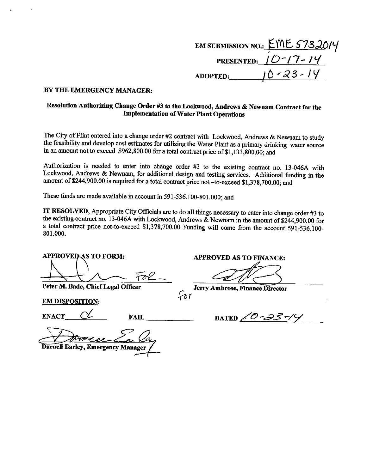# EM SUBMISSION NO.:  $EME$  5732014 PRESENTED:  $10-17-14$ ADOPTED:  $10 - 23 - 14$

#### BY THE EMERGENCY MANAGER:

## Resolution Authorizing Change Order #3 to the Lockwood, Andrews & Newnam Contract for the **Implementation of Water Plant Operations**

The City of Flint entered into a change order #2 contract with Lockwood, Andrews & Newnam to study the feasibility and develop cost estimates for utilizing the Water Plant as a primary drinking water source in an amount not to exceed \$962,800.00 for a total contract price of \$1,133,800.00; and

Authorization is needed to enter into change order #3 to the existing contract no. 13-046A with Lockwood, Andrews & Newnam, for additional design and testing services. Additional funding in the amount of \$244,900.00 is required for a total contract price not -to-exceed \$1,378,700.00; and

These funds are made available in account in 591-536.100-801.000; and

IT RESOLVED, Appropriate City Officials are to do all things necessary to enter into change order #3 to the existing contract no. 13-046A with Lockwood, Andrews & Newnam in the amount of \$244,900.00 for a total contract price not-to-exceed \$1,378,700.00 Funding will come from the account 591-536.100-801.000.

**APPROVED AS TO FORM:** 

Peter M. Bade, Chief Legal Officer

**EM DISPOSITION:** 

**ENACT** 

**FAIL** 

**Darnell Earley, Emergency Manager** 

**APPROVED AS TO FINANCE:** 

Jerry Ambrose, Finance Director for

--- <sup>1</sup>0 س DATED